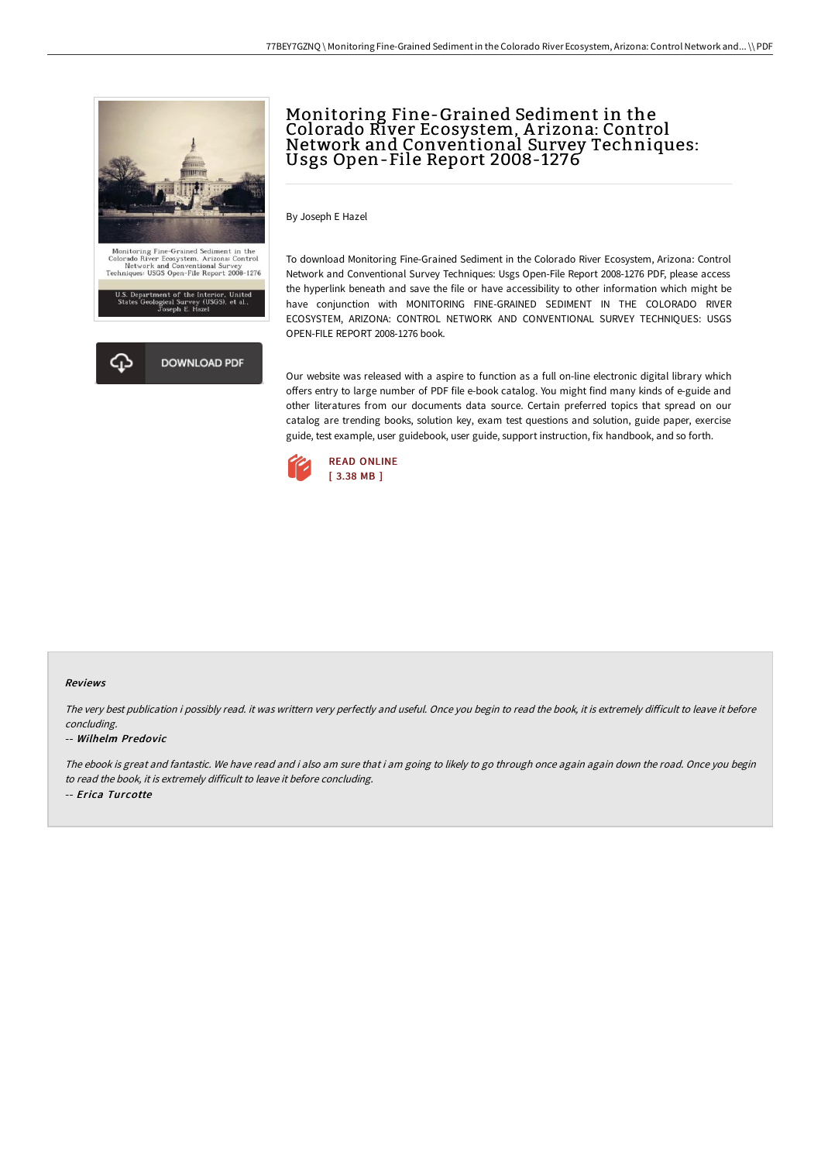

## Monitoring Fine-Grained Sediment in the Colorado River Ecosystem, A rizona: Control Network and Conventional Survey Techniques: Usgs Open-File Report 2008-1276

By Joseph E Hazel

To download Monitoring Fine-Grained Sediment in the Colorado River Ecosystem, Arizona: Control Network and Conventional Survey Techniques: Usgs Open-File Report 2008-1276 PDF, please access the hyperlink beneath and save the file or have accessibility to other information which might be have conjunction with MONITORING FINE-GRAINED SEDIMENT IN THE COLORADO RIVER ECOSYSTEM, ARIZONA: CONTROL NETWORK AND CONVENTIONAL SURVEY TECHNIQUES: USGS OPEN-FILE REPORT 2008-1276 book.

Our website was released with a aspire to function as a full on-line electronic digital library which offers entry to large number of PDF file e-book catalog. You might find many kinds of e-guide and other literatures from our documents data source. Certain preferred topics that spread on our catalog are trending books, solution key, exam test questions and solution, guide paper, exercise guide, test example, user guidebook, user guide, support instruction, fix handbook, and so forth.



## Reviews

The very best publication i possibly read. it was writtern very perfectly and useful. Once you begin to read the book, it is extremely difficult to leave it before concluding.

## -- Wilhelm Predovic

The ebook is great and fantastic. We have read and i also am sure that i am going to likely to go through once again again down the road. Once you begin to read the book, it is extremely difficult to leave it before concluding. -- Erica Turcotte